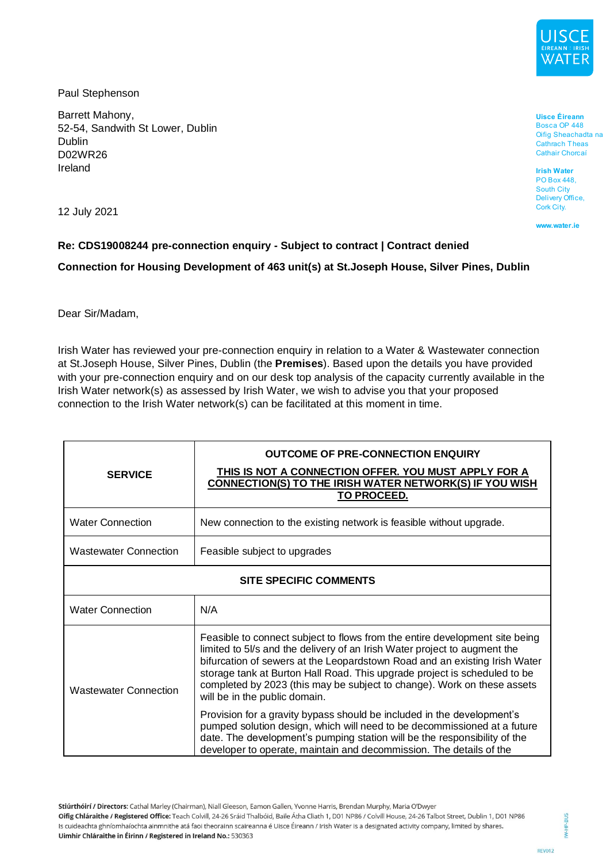

Paul Stephenson

Barrett Mahony, 52-54, Sandwith St Lower, Dublin Dublin D02WR26 Ireland

Bosca OP 448 Oifig Sheachadta na Cathrach Theas Cathair Chorcaí

**Uisce Éireann** 

12 July 2021

www.water.ie

**Irish Water** PO Box 448, **South City** Delivery Office, Cork City.

# **Re: CDS19008244 pre-connection enquiry - Subject to contract | Contract denied Connection for Housing Development of 463 unit(s) at St.Joseph House, Silver Pines, Dublin**

Dear Sir/Madam,

Irish Water has reviewed your pre-connection enquiry in relation to a Water & Wastewater connection at St.Joseph House, Silver Pines, Dublin (the **Premises**). Based upon the details you have provided with your pre-connection enquiry and on our desk top analysis of the capacity currently available in the Irish Water network(s) as assessed by Irish Water, we wish to advise you that your proposed connection to the Irish Water network(s) can be facilitated at this moment in time.

| <b>SERVICE</b>                | <b>OUTCOME OF PRE-CONNECTION ENQUIRY</b><br>THIS IS NOT A CONNECTION OFFER. YOU MUST APPLY FOR A<br>CONNECTION(S) TO THE IRISH WATER NETWORK(S) IF YOU WISH<br><b>TO PROCEED.</b>                                                                                                                                                                                                                                               |
|-------------------------------|---------------------------------------------------------------------------------------------------------------------------------------------------------------------------------------------------------------------------------------------------------------------------------------------------------------------------------------------------------------------------------------------------------------------------------|
| <b>Water Connection</b>       | New connection to the existing network is feasible without upgrade.                                                                                                                                                                                                                                                                                                                                                             |
| <b>Wastewater Connection</b>  | Feasible subject to upgrades                                                                                                                                                                                                                                                                                                                                                                                                    |
| <b>SITE SPECIFIC COMMENTS</b> |                                                                                                                                                                                                                                                                                                                                                                                                                                 |
| <b>Water Connection</b>       | N/A                                                                                                                                                                                                                                                                                                                                                                                                                             |
| <b>Wastewater Connection</b>  | Feasible to connect subject to flows from the entire development site being<br>limited to 5l/s and the delivery of an Irish Water project to augment the<br>bifurcation of sewers at the Leopardstown Road and an existing Irish Water<br>storage tank at Burton Hall Road. This upgrade project is scheduled to be<br>completed by 2023 (this may be subject to change). Work on these assets<br>will be in the public domain. |
|                               | Provision for a gravity bypass should be included in the development's<br>pumped solution design, which will need to be decommissioned at a future<br>date. The development's pumping station will be the responsibility of the<br>developer to operate, maintain and decommission. The details of the                                                                                                                          |

Stiúrthóirí / Directors: Cathal Marley (Chairman), Niall Gleeson, Eamon Gallen, Yvonne Harris, Brendan Murphy, Maria O'Dwyer

Oifig Chláraithe / Registered Office: Teach Colvill, 24-26 Sráid Thalbóid, Baile Átha Cliath 1, D01 NP86 / Colvill House, 24-26 Talbot Street, Dublin 1, D01 NP86 Is cuideachta ghníomhaíochta ainmnithe atá faoi theorainn scaireanna é Uisce Éireann / Irish Water is a designated activity company, limited by shares. Uimhir Chláraithe in Éirinn / Registered in Ireland No.: 530363

IW-HP-BUS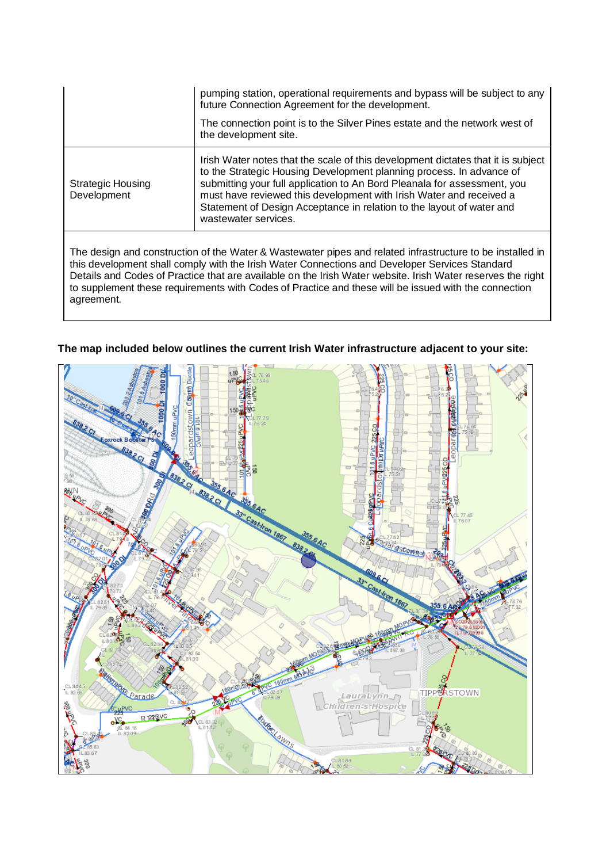|                                                                                                           | pumping station, operational requirements and bypass will be subject to any<br>future Connection Agreement for the development.                                                                                                                                                                                                                                                                              |
|-----------------------------------------------------------------------------------------------------------|--------------------------------------------------------------------------------------------------------------------------------------------------------------------------------------------------------------------------------------------------------------------------------------------------------------------------------------------------------------------------------------------------------------|
|                                                                                                           | The connection point is to the Silver Pines estate and the network west of<br>the development site.                                                                                                                                                                                                                                                                                                          |
| <b>Strategic Housing</b><br>Development                                                                   | Irish Water notes that the scale of this development dictates that it is subject<br>to the Strategic Housing Development planning process. In advance of<br>submitting your full application to An Bord Pleanala for assessment, you<br>must have reviewed this development with Irish Water and received a<br>Statement of Design Acceptance in relation to the layout of water and<br>wastewater services. |
| The design and construction of the Water & Wastewater pipes and related infrastructure to be installed in |                                                                                                                                                                                                                                                                                                                                                                                                              |

this development shall comply with the Irish Water Connections and Developer Services Standard Details and Codes of Practice that are available on the Irish Water website. Irish Water reserves the right to supplement these requirements with Codes of Practice and these will be issued with the connection agreement.

# **The map included below outlines the current Irish Water infrastructure adjacent to your site:**

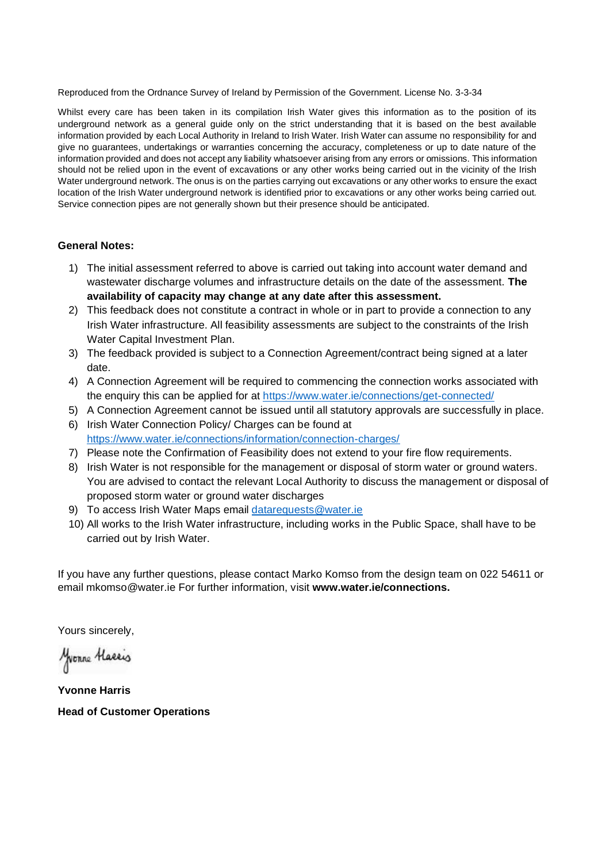Reproduced from the Ordnance Survey of Ireland by Permission of the Government. License No. 3-3-34

Whilst every care has been taken in its compilation Irish Water gives this information as to the position of its underground network as a general guide only on the strict understanding that it is based on the best available information provided by each Local Authority in Ireland to Irish Water. Irish Water can assume no responsibility for and give no guarantees, undertakings or warranties concerning the accuracy, completeness or up to date nature of the information provided and does not accept any liability whatsoever arising from any errors or omissions. This information should not be relied upon in the event of excavations or any other works being carried out in the vicinity of the Irish Water underground network. The onus is on the parties carrying out excavations or any other works to ensure the exact location of the Irish Water underground network is identified prior to excavations or any other works being carried out. Service connection pipes are not generally shown but their presence should be anticipated.

#### **General Notes:**

- 1) The initial assessment referred to above is carried out taking into account water demand and wastewater discharge volumes and infrastructure details on the date of the assessment. **The availability of capacity may change at any date after this assessment.**
- 2) This feedback does not constitute a contract in whole or in part to provide a connection to any Irish Water infrastructure. All feasibility assessments are subject to the constraints of the Irish Water Capital Investment Plan.
- 3) The feedback provided is subject to a Connection Agreement/contract being signed at a later date.
- 4) A Connection Agreement will be required to commencing the connection works associated with the enquiry this can be applied for at<https://www.water.ie/connections/get-connected/>
- 5) A Connection Agreement cannot be issued until all statutory approvals are successfully in place.
- 6) Irish Water Connection Policy/ Charges can be found at <https://www.water.ie/connections/information/connection-charges/>
- 7) Please note the Confirmation of Feasibility does not extend to your fire flow requirements.
- 8) Irish Water is not responsible for the management or disposal of storm water or ground waters. You are advised to contact the relevant Local Authority to discuss the management or disposal of proposed storm water or ground water discharges
- 9) To access Irish Water Maps email [datarequests@water.ie](mailto:datarequests@water.ie)
- 10) All works to the Irish Water infrastructure, including works in the Public Space, shall have to be carried out by Irish Water.

If you have any further questions, please contact Marko Komso from the design team on 022 54611 or email mkomso@water.ie For further information, visit **www.water.ie/connections.**

Yours sincerely,

Monne Hassis

**Yvonne Harris Head of Customer Operations**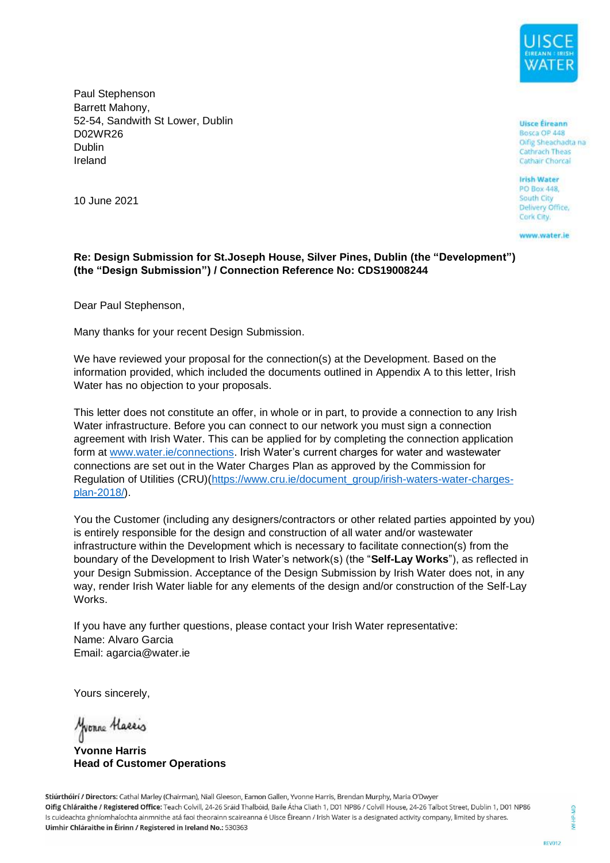

Paul Stephenson Barrett Mahony, 52-54, Sandwith St Lower, Dublin D02WR26 Dublin Ireland

**Uisce Éireann** Bosca OP 448 Oifig Sheachadta na Cathrach Theas Cathair Chorcal

**Irish Water** PO Boy 448 South City Delivery Office, Cork City.

www.water.ie

10 June 2021

## **Re: Design Submission for St.Joseph House, Silver Pines, Dublin (the "Development") (the "Design Submission") / Connection Reference No: CDS19008244**

Dear Paul Stephenson,

Many thanks for your recent Design Submission.

We have reviewed your proposal for the connection(s) at the Development. Based on the information provided, which included the documents outlined in Appendix A to this letter, Irish Water has no objection to your proposals.

This letter does not constitute an offer, in whole or in part, to provide a connection to any Irish Water infrastructure. Before you can connect to our network you must sign a connection agreement with Irish Water. This can be applied for by completing the connection application form at [www.water.ie/connections.](http://www.water.ie/connections) Irish Water's current charges for water and wastewater connections are set out in the Water Charges Plan as approved by the Commission for Regulation of Utilities (CRU)[\(https://www.cru.ie/document\\_group/irish-waters-water-charges](https://www.cru.ie/document_group/irish-waters-water-charges-plan-2018/)[plan-2018/\)](https://www.cru.ie/document_group/irish-waters-water-charges-plan-2018/).

You the Customer (including any designers/contractors or other related parties appointed by you) is entirely responsible for the design and construction of all water and/or wastewater infrastructure within the Development which is necessary to facilitate connection(s) from the boundary of the Development to Irish Water's network(s) (the "**Self-Lay Works**"), as reflected in your Design Submission. Acceptance of the Design Submission by Irish Water does not, in any way, render Irish Water liable for any elements of the design and/or construction of the Self-Lay Works.

If you have any further questions, please contact your Irish Water representative: Name: Alvaro Garcia Email: agarcia@water.ie

Yours sincerely,

Monne Hassis

**Yvonne Harris Head of Customer Operations**

Stiúrthóirí / Directors: Cathal Marley (Chairman), Niall Gleeson, Eamon Gallen, Yvonne Harris, Brendan Murphy, Maria O'Dwyer Oifig Chláraithe / Registered Office: Teach Colvill, 24-26 Sráid Thalbóid, Baile Átha Cliath 1, D01 NP86 / Colvill House, 24-26 Talbot Street, Dublin 1, D01 NP86 Is cuideachta ghníomhaíochta ainmnithe atá faoi theorainn scaireanna é Uisce Éireann / Irish Water is a designated activity company, limited by shares. Uimhir Chláraithe in Éirinn / Registered in Ireland No.: 530363

S